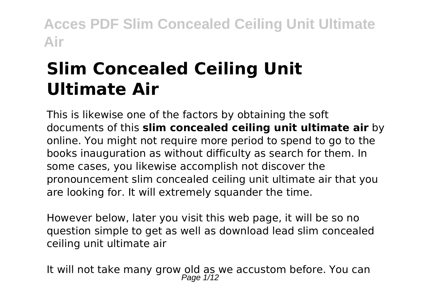# **Slim Concealed Ceiling Unit Ultimate Air**

This is likewise one of the factors by obtaining the soft documents of this **slim concealed ceiling unit ultimate air** by online. You might not require more period to spend to go to the books inauguration as without difficulty as search for them. In some cases, you likewise accomplish not discover the pronouncement slim concealed ceiling unit ultimate air that you are looking for. It will extremely squander the time.

However below, later you visit this web page, it will be so no question simple to get as well as download lead slim concealed ceiling unit ultimate air

It will not take many grow old as we accustom before. You can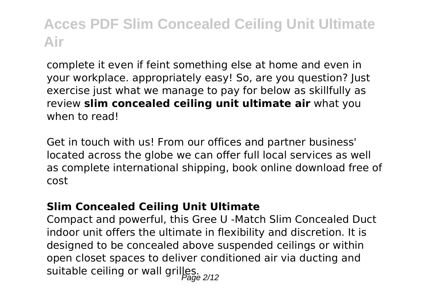complete it even if feint something else at home and even in your workplace. appropriately easy! So, are you question? Just exercise just what we manage to pay for below as skillfully as review **slim concealed ceiling unit ultimate air** what you when to read!

Get in touch with us! From our offices and partner business' located across the globe we can offer full local services as well as complete international shipping, book online download free of cost

#### **Slim Concealed Ceiling Unit Ultimate**

Compact and powerful, this Gree U ‐Match Slim Concealed Duct indoor unit offers the ultimate in flexibility and discretion. It is designed to be concealed above suspended ceilings or within open closet spaces to deliver conditioned air via ducting and suitable ceiling or wall grilles.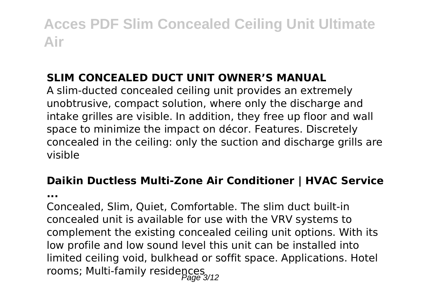### **SLIM CONCEALED DUCT UNIT OWNER'S MANUAL**

A slim-ducted concealed ceiling unit provides an extremely unobtrusive, compact solution, where only the discharge and intake grilles are visible. In addition, they free up floor and wall space to minimize the impact on décor. Features. Discretely concealed in the ceiling: only the suction and discharge grills are visible

## **Daikin Ductless Multi-Zone Air Conditioner | HVAC Service**

**...**

Concealed, Slim, Quiet, Comfortable. The slim duct built-in concealed unit is available for use with the VRV systems to complement the existing concealed ceiling unit options. With its low profile and low sound level this unit can be installed into limited ceiling void, bulkhead or soffit space. Applications. Hotel mincul commission commission residences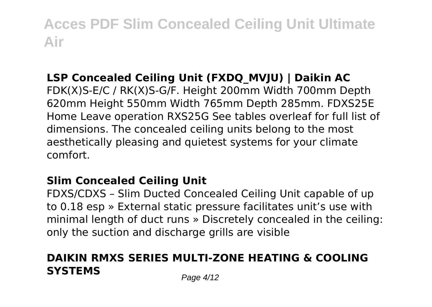## **LSP Concealed Ceiling Unit (FXDQ\_MVJU) | Daikin AC**

FDK(X)S-E/C / RK(X)S-G/F. Height 200mm Width 700mm Depth 620mm Height 550mm Width 765mm Depth 285mm. FDXS25E Home Leave operation RXS25G See tables overleaf for full list of dimensions. The concealed ceiling units belong to the most aesthetically pleasing and quietest systems for your climate comfort.

#### **Slim Concealed Ceiling Unit**

FDXS/CDXS – Slim Ducted Concealed Ceiling Unit capable of up to 0.18 esp » External static pressure facilitates unit's use with minimal length of duct runs » Discretely concealed in the ceiling: only the suction and discharge grills are visible

## **DAIKIN RMXS SERIES MULTI-ZONE HEATING & COOLING SYSTEMS** Page 4/12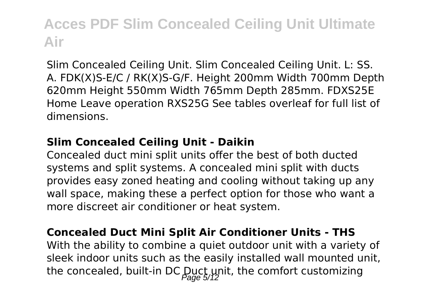Slim Concealed Ceiling Unit. Slim Concealed Ceiling Unit. L: SS. A. FDK(X)S-E/C / RK(X)S-G/F. Height 200mm Width 700mm Depth 620mm Height 550mm Width 765mm Depth 285mm. FDXS25E Home Leave operation RXS25G See tables overleaf for full list of dimensions.

#### **Slim Concealed Ceiling Unit - Daikin**

Concealed duct mini split units offer the best of both ducted systems and split systems. A concealed mini split with ducts provides easy zoned heating and cooling without taking up any wall space, making these a perfect option for those who want a more discreet air conditioner or heat system.

#### **Concealed Duct Mini Split Air Conditioner Units - THS**

With the ability to combine a quiet outdoor unit with a variety of sleek indoor units such as the easily installed wall mounted unit, the concealed, built-in DC Duct unit, the comfort customizing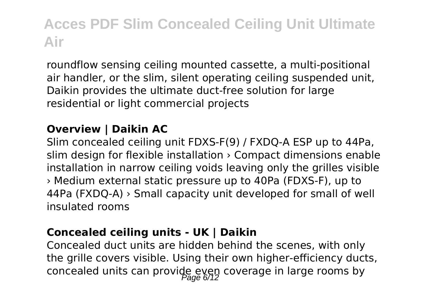roundflow sensing ceiling mounted cassette, a multi-positional air handler, or the slim, silent operating ceiling suspended unit, Daikin provides the ultimate duct-free solution for large residential or light commercial projects

### **Overview | Daikin AC**

Slim concealed ceiling unit FDXS-F(9) / FXDQ-A ESP up to 44Pa, slim design for flexible installation › Compact dimensions enable installation in narrow ceiling voids leaving only the grilles visible › Medium external static pressure up to 40Pa (FDXS-F), up to 44Pa (FXDQ-A) › Small capacity unit developed for small of well insulated rooms

#### **Concealed ceiling units - UK | Daikin**

Concealed duct units are hidden behind the scenes, with only the grille covers visible. Using their own higher-efficiency ducts, concealed units can provide even coverage in large rooms by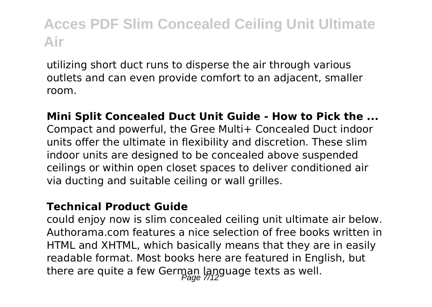utilizing short duct runs to disperse the air through various outlets and can even provide comfort to an adjacent, smaller room.

#### **Mini Split Concealed Duct Unit Guide - How to Pick the ...** Compact and powerful, the Gree Multi+ Concealed Duct indoor units offer the ultimate in flexibility and discretion. These slim indoor units are designed to be concealed above suspended ceilings or within open closet spaces to deliver conditioned air via ducting and suitable ceiling or wall grilles.

#### **Technical Product Guide**

could enjoy now is slim concealed ceiling unit ultimate air below. Authorama.com features a nice selection of free books written in HTML and XHTML, which basically means that they are in easily readable format. Most books here are featured in English, but there are quite a few German language texts as well.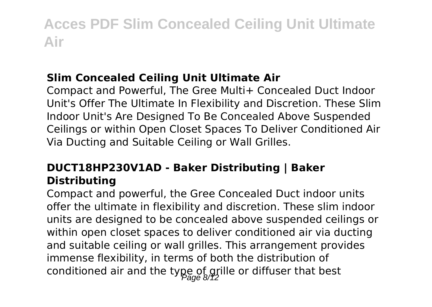### **Slim Concealed Ceiling Unit Ultimate Air**

Compact and Powerful, The Gree Multi+ Concealed Duct Indoor Unit's Offer The Ultimate In Flexibility and Discretion. These Slim Indoor Unit's Are Designed To Be Concealed Above Suspended Ceilings or within Open Closet Spaces To Deliver Conditioned Air Via Ducting and Suitable Ceiling or Wall Grilles.

### **DUCT18HP230V1AD - Baker Distributing | Baker Distributing**

Compact and powerful, the Gree Concealed Duct indoor units offer the ultimate in flexibility and discretion. These slim indoor units are designed to be concealed above suspended ceilings or within open closet spaces to deliver conditioned air via ducting and suitable ceiling or wall grilles. This arrangement provides immense flexibility, in terms of both the distribution of conditioned air and the type of grille or diffuser that best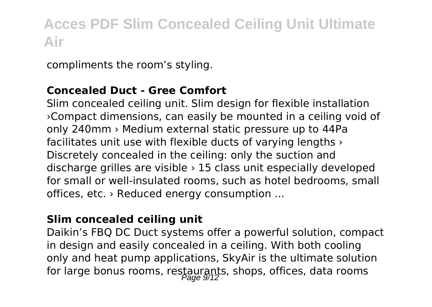compliments the room's styling.

#### **Concealed Duct - Gree Comfort**

Slim concealed ceiling unit. Slim design for flexible installation ›Compact dimensions, can easily be mounted in a ceiling void of only 240mm › Medium external static pressure up to 44Pa facilitates unit use with flexible ducts of varying lengths › Discretely concealed in the ceiling: only the suction and discharge grilles are visible › 15 class unit especially developed for small or well-insulated rooms, such as hotel bedrooms, small offices, etc. › Reduced energy consumption ...

#### **Slim concealed ceiling unit**

Daikin's FBQ DC Duct systems offer a powerful solution, compact in design and easily concealed in a ceiling. With both cooling only and heat pump applications, SkyAir is the ultimate solution for large bonus rooms, restaurants, shops, offices, data rooms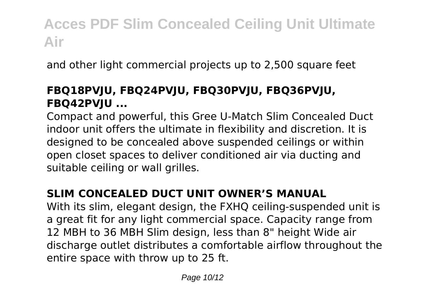and other light commercial projects up to 2,500 square feet

### **FBQ18PVJU, FBQ24PVJU, FBQ30PVJU, FBQ36PVJU, FBQ42PVJU ...**

Compact and powerful, this Gree U‐Match Slim Concealed Duct indoor unit offers the ultimate in flexibility and discretion. It is designed to be concealed above suspended ceilings or within open closet spaces to deliver conditioned air via ducting and suitable ceiling or wall grilles.

### **SLIM CONCEALED DUCT UNIT OWNER'S MANUAL**

With its slim, elegant design, the FXHQ ceiling-suspended unit is a great fit for any light commercial space. Capacity range from 12 MBH to 36 MBH Slim design, less than 8" height Wide air discharge outlet distributes a comfortable airflow throughout the entire space with throw up to 25 ft.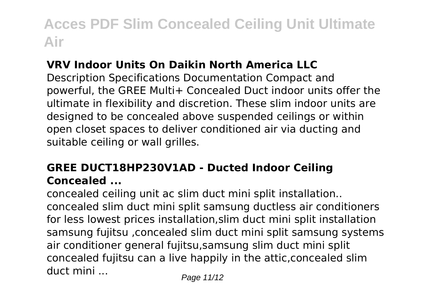### **VRV Indoor Units On Daikin North America LLC**

Description Specifications Documentation Compact and powerful, the GREE Multi+ Concealed Duct indoor units offer the ultimate in flexibility and discretion. These slim indoor units are designed to be concealed above suspended ceilings or within open closet spaces to deliver conditioned air via ducting and suitable ceiling or wall grilles.

### **GREE DUCT18HP230V1AD - Ducted Indoor Ceiling Concealed ...**

concealed ceiling unit ac slim duct mini split installation.. concealed slim duct mini split samsung ductless air conditioners for less lowest prices installation,slim duct mini split installation samsung fujitsu ,concealed slim duct mini split samsung systems air conditioner general fujitsu,samsung slim duct mini split concealed fujitsu can a live happily in the attic,concealed slim duct mini ...  $P_{\text{a}q} = 11/12$